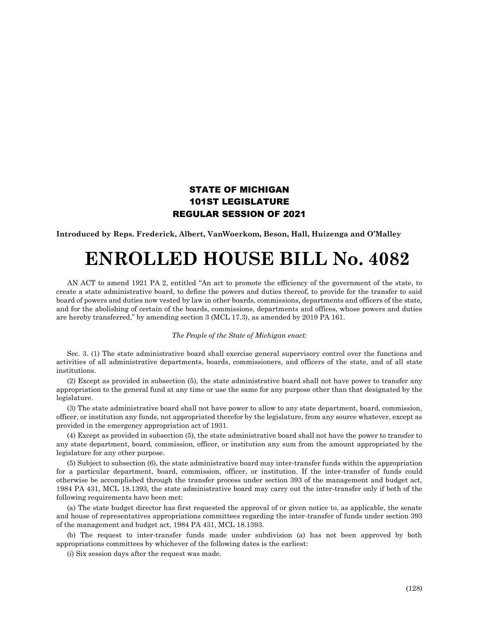## STATE OF MICHIGAN 101ST LEGISLATURE REGULAR SESSION OF 2021

**Introduced by Reps. Frederick, Albert, VanWoerkom, Beson, Hall, Huizenga and O'Malley**

## **ENROLLED HOUSE BILL No. 4082**

AN ACT to amend 1921 PA 2, entitled "An act to promote the efficiency of the government of the state, to create a state administrative board, to define the powers and duties thereof, to provide for the transfer to said board of powers and duties now vested by law in other boards, commissions, departments and officers of the state, and for the abolishing of certain of the boards, commissions, departments and offices, whose powers and duties are hereby transferred," by amending section 3 (MCL 17.3), as amended by 2019 PA 161.

## *The People of the State of Michigan enact:*

Sec. 3. (1) The state administrative board shall exercise general supervisory control over the functions and activities of all administrative departments, boards, commissioners, and officers of the state, and of all state institutions.

(2) Except as provided in subsection (5), the state administrative board shall not have power to transfer any appropriation to the general fund at any time or use the same for any purpose other than that designated by the legislature.

(3) The state administrative board shall not have power to allow to any state department, board, commission, officer, or institution any funds, not appropriated therefor by the legislature, from any source whatever, except as provided in the emergency appropriation act of 1931.

(4) Except as provided in subsection (5), the state administrative board shall not have the power to transfer to any state department, board, commission, officer, or institution any sum from the amount appropriated by the legislature for any other purpose.

(5) Subject to subsection (6), the state administrative board may inter-transfer funds within the appropriation for a particular department, board, commission, officer, or institution. If the inter-transfer of funds could otherwise be accomplished through the transfer process under section 393 of the management and budget act, 1984 PA 431, MCL 18.1393, the state administrative board may carry out the inter-transfer only if both of the following requirements have been met:

(a) The state budget director has first requested the approval of or given notice to, as applicable, the senate and house of representatives appropriations committees regarding the inter-transfer of funds under section 393 of the management and budget act, 1984 PA 431, MCL 18.1393.

(b) The request to inter-transfer funds made under subdivision (a) has not been approved by both appropriations committees by whichever of the following dates is the earliest:

(*i*) Six session days after the request was made.